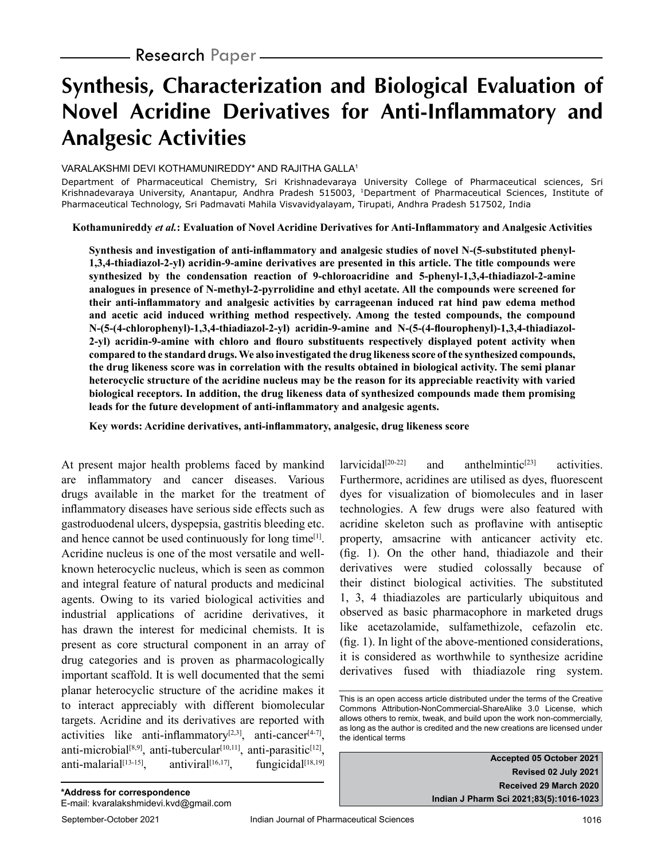# **Synthesis, Characterization and Biological Evaluation of Novel Acridine Derivatives for Anti-Inflammatory and Analgesic Activities**

#### VARALAKSHMI DEVI KOTHAMUNIREDDY\* AND RAJITHA GALLA1

Department of Pharmaceutical Chemistry, Sri Krishnadevaraya University College of Pharmaceutical sciences, Sri Krishnadevaraya University, Anantapur, Andhra Pradesh 515003, 1Department of Pharmaceutical Sciences, Institute of Pharmaceutical Technology, Sri Padmavati Mahila Visvavidyalayam, Tirupati, Andhra Pradesh 517502, India

**Kothamunireddy** *et al.***: Evaluation of Novel Acridine Derivatives for Anti-Inflammatory and Analgesic Activities**

**Synthesis and investigation of anti-inflammatory and analgesic studies of novel N-(5-substituted phenyl-1,3,4-thiadiazol-2-yl) acridin-9-amine derivatives are presented in this article. The title compounds were synthesized by the condensation reaction of 9-chloroacridine and 5-phenyl-1,3,4-thiadiazol-2-amine analogues in presence of N-methyl-2-pyrrolidine and ethyl acetate. All the compounds were screened for their anti-inflammatory and analgesic activities by carrageenan induced rat hind paw edema method and acetic acid induced writhing method respectively. Among the tested compounds, the compound N-(5-(4-chlorophenyl)-1,3,4-thiadiazol-2-yl) acridin-9-amine and N-(5-(4-flourophenyl)-1,3,4-thiadiazol-2-yl) acridin-9-amine with chloro and flouro substituents respectively displayed potent activity when compared to the standard drugs. We also investigated the drug likeness score of the synthesized compounds, the drug likeness score was in correlation with the results obtained in biological activity. The semi planar heterocyclic structure of the acridine nucleus may be the reason for its appreciable reactivity with varied biological receptors. In addition, the drug likeness data of synthesized compounds made them promising leads for the future development of anti-inflammatory and analgesic agents.**

**Key words: Acridine derivatives, anti-inflammatory, analgesic, drug likeness score**

At present major health problems faced by mankind are inflammatory and cancer diseases. Various drugs available in the market for the treatment of inflammatory diseases have serious side effects such as gastroduodenal ulcers, dyspepsia, gastritis bleeding etc. and hence cannot be used continuously for long time<sup>[1]</sup>. Acridine nucleus is one of the most versatile and wellknown heterocyclic nucleus, which is seen as common and integral feature of natural products and medicinal agents. Owing to its varied biological activities and industrial applications of acridine derivatives, it has drawn the interest for medicinal chemists. It is present as core structural component in an array of drug categories and is proven as pharmacologically important scaffold. It is well documented that the semi planar heterocyclic structure of the acridine makes it to interact appreciably with different biomolecular targets. Acridine and its derivatives are reported with activities like anti-inflammatory<sup>[2,3]</sup>, anti-cancer<sup>[4-7]</sup>, anti-microbial<sup>[8,9]</sup>, anti-tubercular<sup>[10,11]</sup>, anti-parasitic<sup>[12]</sup>, anti-malarial[13-15], antiviral $[16,17]$ . fungicidal[18,19]

larvicidal<sup>[20-22]</sup> and  $anthelmintic^{[23]}$  activities. Furthermore, acridines are utilised as dyes, fluorescent dyes for visualization of biomolecules and in laser technologies. A few drugs were also featured with acridine skeleton such as proflavine with antiseptic property, amsacrine with anticancer activity etc. (fig. 1). On the other hand, thiadiazole and their derivatives were studied colossally because of their distinct biological activities. The substituted 1, 3, 4 thiadiazoles are particularly ubiquitous and observed as basic pharmacophore in marketed drugs like acetazolamide, sulfamethizole, cefazolin etc. (fig. 1). In light of the above-mentioned considerations, it is considered as worthwhile to synthesize acridine derivatives fused with thiadiazole ring system.

**Accepted 05 October 2021 Revised 02 July 2021 Received 29 March 2020 Indian J Pharm Sci 2021;83(5):1016-1023**

This is an open access article distributed under the terms of the Creative Commons Attribution-NonCommercial-ShareAlike 3.0 License, which allows others to remix, tweak, and build upon the work non-commercially, as long as the author is credited and the new creations are licensed under the identical terms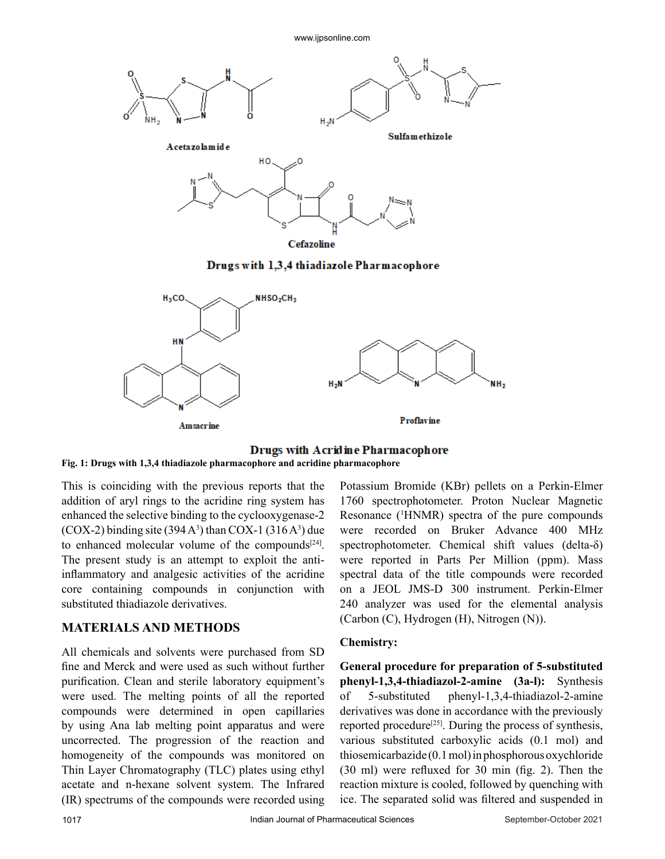www.ijpsonline.com



Drugs with 1,3,4 thiadiazole Pharmacophore



#### **Drugs with Acridine Pharmacophore Fig. 1: Drugs with 1,3,4 thiadiazole pharmacophore and acridine pharmacophore**

This is coinciding with the previous reports that the addition of aryl rings to the acridine ring system has enhanced the selective binding to the cyclooxygenase-2  $(COX-2)$  binding site  $(394 A<sup>3</sup>)$  than  $COX-1$   $(316 A<sup>3</sup>)$  due to enhanced molecular volume of the compounds $[24]$ . The present study is an attempt to exploit the antiinflammatory and analgesic activities of the acridine core containing compounds in conjunction with substituted thiadiazole derivatives.

# **MATERIALS AND METHODS**

All chemicals and solvents were purchased from SD fine and Merck and were used as such without further purification. Clean and sterile laboratory equipment's were used. The melting points of all the reported compounds were determined in open capillaries by using Ana lab melting point apparatus and were uncorrected. The progression of the reaction and homogeneity of the compounds was monitored on Thin Layer Chromatography (TLC) plates using ethyl acetate and n-hexane solvent system. The Infrared (IR) spectrums of the compounds were recorded using Potassium Bromide (KBr) pellets on a Perkin-Elmer 1760 spectrophotometer. Proton Nuclear Magnetic Resonance (<sup>1</sup> HNMR) spectra of the pure compounds were recorded on Bruker Advance 400 MHz spectrophotometer. Chemical shift values (delta-δ) were reported in Parts Per Million (ppm). Mass spectral data of the title compounds were recorded on a JEOL JMS-D 300 instrument. Perkin-Elmer 240 analyzer was used for the elemental analysis (Carbon (C), Hydrogen (H), Nitrogen (N)).

## **Chemistry:**

**General procedure for preparation of 5-substituted phenyl-1,3,4-thiadiazol-2-amine (3a-l):** Synthesis of 5-substituted phenyl-1,3,4-thiadiazol-2-amine derivatives was done in accordance with the previously reported procedure<sup>[25]</sup>. During the process of synthesis, various substituted carboxylic acids (0.1 mol) and thiosemicarbazide (0.1 mol) in phosphorous oxychloride (30 ml) were refluxed for 30 min (fig. 2). Then the reaction mixture is cooled, followed by quenching with ice. The separated solid was filtered and suspended in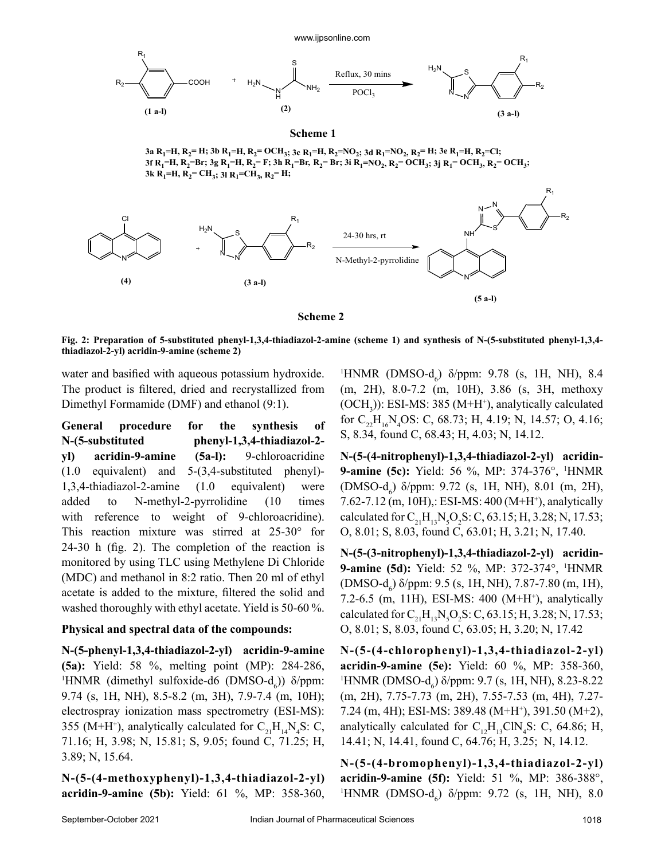

#### **Scheme 2**

**Fig. 2: Preparation of 5-substituted phenyl-1,3,4-thiadiazol-2-amine (scheme 1) and synthesis of N-(5-substituted phenyl-1,3,4 thiadiazol-2-yl) acridin-9-amine (scheme 2)**

water and basified with aqueous potassium hydroxide. The product is filtered, dried and recrystallized from Dimethyl Formamide (DMF) and ethanol (9:1).

**General procedure for the synthesis of N-(5-substituted phenyl-1,3,4-thiadiazol-2 yl) acridin-9-amine (5a-l):** 9-chloroacridine (1.0 equivalent) and 5-(3,4-substituted phenyl)- 1,3,4-thiadiazol-2-amine (1.0 equivalent) were added to N-methyl-2-pyrrolidine (10 times with reference to weight of 9-chloroacridine). This reaction mixture was stirred at 25-30° for 24-30 h (fig. 2). The completion of the reaction is monitored by using TLC using Methylene Di Chloride (MDC) and methanol in 8:2 ratio. Then 20 ml of ethyl acetate is added to the mixture, filtered the solid and washed thoroughly with ethyl acetate. Yield is 50-60 %.

#### **Physical and spectral data of the compounds:**

**N-(5-phenyl-1,3,4-thiadiazol-2-yl) acridin-9-amine (5a):** Yield: 58 %, melting point (MP): 284-286, <sup>1</sup>HNMR (dimethyl sulfoxide-d6 (DMSO-d<sub>6</sub>))  $\delta$ /ppm: 9.74 (s, 1H, NH), 8.5-8.2 (m, 3H), 7.9-7.4 (m, 10H); electrospray ionization mass spectrometry (ESI-MS): 355 (M+H<sup>+</sup>), analytically calculated for  $C_{21}H_{14}N_4S$ : C, 71.16; H, 3.98; N, 15.81; S, 9.05; found C, 71.25; H, 3.89; N, 15.64.

**N-(5-(4-methoxyphenyl)-1,3,4-thiadiazol-2-yl) acridin-9-amine (5b):** Yield: 61 %, MP: 358-360,

<sup>1</sup>HNMR (DMSO-d<sub>6</sub>)  $\delta$ /ppm: 9.78 (s, 1H, NH), 8.4 (m, 2H), 8.0-7.2 (m, 10H), 3.86 (s, 3H, methoxy  $(OCH<sub>3</sub>)$ ): ESI-MS: 385 (M+H<sup>+</sup>), analytically calculated for  $C_{22}H_{16}N_4OS$ : C, 68.73; H, 4.19; N, 14.57; O, 4.16; S, 8.34, found C, 68.43; H, 4.03; N, 14.12.

**N-(5-(4-nitrophenyl)-1,3,4-thiadiazol-2-yl) acridin-9-amine (5c):** Yield: 56 %, MP: 374-376°, <sup>1</sup> HNMR (DMSO- $d_6$ )  $\delta$ /ppm: 9.72 (s, 1H, NH), 8.01 (m, 2H), 7.62-7.12 (m, 10H),: ESI-MS: 400 (M+H+ ), analytically calculated for  $C_{21}H_{13}N_{5}O_{2}S$ : C, 63.15; H, 3.28; N, 17.53; O, 8.01; S, 8.03, found C, 63.01; H, 3.21; N, 17.40.

**N-(5-(3-nitrophenyl)-1,3,4-thiadiazol-2-yl) acridin-9-amine (5d):** Yield: 52 %, MP: 372-374°, <sup>1</sup> HNMR  $(DMSO-d_6)$  δ/ppm: 9.5 (s, 1H, NH), 7.87-7.80 (m, 1H), 7.2-6.5 (m, 11H), ESI-MS: 400 (M+H+ ), analytically calculated for  $C_{21}H_{13}N_{5}O_{2}S$ : C, 63.15; H, 3.28; N, 17.53; O, 8.01; S, 8.03, found C, 63.05; H, 3.20; N, 17.42

**N-(5-(4-chlorophenyl)-1,3,4-thiadiazol-2-yl) acridin-9-amine (5e):** Yield: 60 %, MP: 358-360, <sup>1</sup>HNMR (DMSO-d<sub>6</sub>) δ/ppm: 9.7 (s, 1H, NH), 8.23-8.22 (m, 2H), 7.75-7.73 (m, 2H), 7.55-7.53 (m, 4H), 7.27- 7.24 (m, 4H); ESI-MS: 389.48 (M+H+ ), 391.50 (M+2), analytically calculated for  $C_{12}H_{13}CIN_4S$ : C, 64.86; H, 14.41; N, 14.41, found C, 64.76; H, 3.25; N, 14.12.

**N-(5-(4-bromophenyl)-1,3,4-thiadiazol-2-yl) acridin-9-amine (5f):** Yield: 51 %, MP: 386-388°, <sup>1</sup>HNMR (DMSO-d<sub>6</sub>)  $\delta$ /ppm: 9.72 (s, 1H, NH), 8.0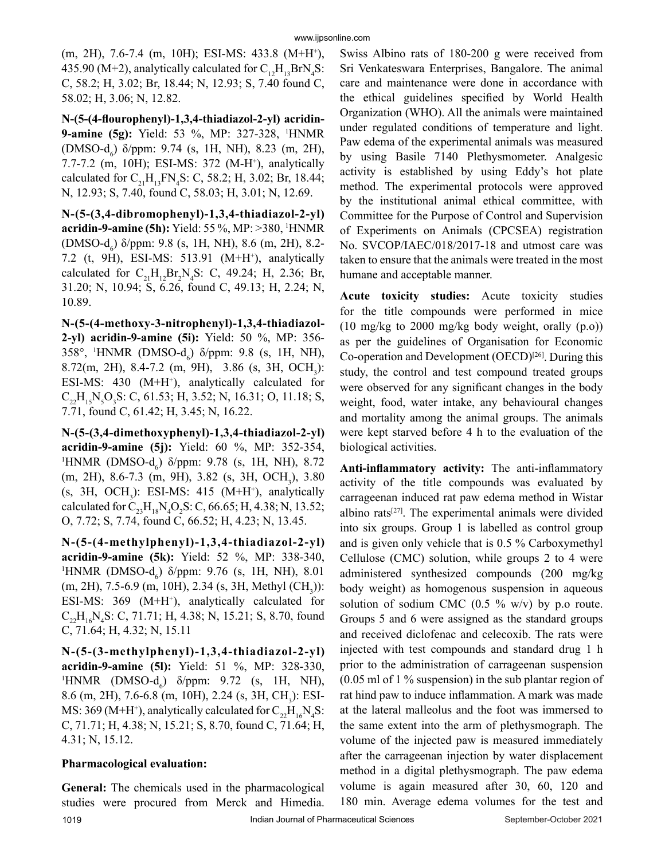(m, 2H), 7.6-7.4 (m, 10H); ESI-MS: 433.8 (M+H+ ), 435.90 (M+2), analytically calculated for  $C_{12}H_{13}BrN_4S$ : C, 58.2; H, 3.02; Br, 18.44; N, 12.93; S, 7.40 found C, 58.02; H, 3.06; N, 12.82.

**N-(5-(4-flourophenyl)-1,3,4-thiadiazol-2-yl) acridin-9-amine (5g):** Yield: 53 %, MP: 327-328, <sup>1</sup> HNMR (DMSO- $d_6$ )  $\delta$ /ppm: 9.74 (s, 1H, NH), 8.23 (m, 2H), 7.7-7.2 (m, 10H); ESI-MS: 372 (M-H+ ), analytically calculated for  $C_{21}H_{13}FN_4S$ : C, 58.2; H, 3.02; Br, 18.44; N, 12.93; S, 7.40, found C, 58.03; H, 3.01; N, 12.69.

**N-(5-(3,4-dibromophenyl)-1,3,4-thiadiazol-2-yl) acridin-9-amine (5h):** Yield: 55 %, MP: >380, <sup>1</sup> HNMR (DMSO- $d_6$ )  $\delta$ /ppm: 9.8 (s, 1H, NH), 8.6 (m, 2H), 8.2-7.2 (t, 9H), ESI-MS: 513.91 (M+H+ ), analytically calculated for  $C_{21}H_{12}Br_2N_4S$ : C, 49.24; H, 2.36; Br, 31.20; N, 10.94; S, 6.26, found C, 49.13; H, 2.24; N, 10.89.

**N-(5-(4-methoxy-3-nitrophenyl)-1,3,4-thiadiazol-2-yl) acridin-9-amine (5i):** Yield: 50 %, MP: 356- 358°, <sup>1</sup>HNMR (DMSO-d<sub>6</sub>) δ/ppm: 9.8 (s, 1H, NH),  $8.72(m, 2H), 8.4-7.2 (m, 9H), 3.86 (s, 3H, OCH<sub>3</sub>):$ ESI-MS:  $430$  (M+H<sup>+</sup>), analytically calculated for  $C_{22}H_{15}N_{5}O_{3}S$ : C, 61.53; H, 3.52; N, 16.31; O, 11.18; S, 7.71, found C, 61.42; H, 3.45; N, 16.22.

**N-(5-(3,4-dimethoxyphenyl)-1,3,4-thiadiazol-2-yl) acridin-9-amine (5j):** Yield: 60 %, MP: 352-354, <sup>1</sup>HNMR (DMSO-d<sub>6</sub>)  $\delta$ /ppm: 9.78 (s, 1H, NH), 8.72 (m, 2H), 8.6-7.3 (m, 9H), 3.82 (s, 3H, OCH<sub>3</sub>), 3.80 (s, 3H, OCH<sub>3</sub>): ESI-MS: 415 (M+H<sup>+</sup>), analytically calculated for  $C_{23}H_{18}N_4O_2S$ : C, 66.65; H, 4.38; N, 13.52; O, 7.72; S, 7.74, found C, 66.52; H, 4.23; N, 13.45.

**N-(5-(4-methylphenyl)-1,3,4-thiadiazol-2-yl) acridin-9-amine (5k):** Yield: 52 %, MP: 338-340, <sup>1</sup>HNMR (DMSO-d<sub>6</sub>) δ/ppm: 9.76 (s, 1H, NH), 8.01  $(m, 2H), 7.5$ -6.9  $(m, 10H), 2.34$  (s, 3H, Methyl  $(CH_3)$ ): ESI-MS:  $369$  (M+H<sup>+</sup>), analytically calculated for  $C_{22}H_{16}N_4S$ : C, 71.71; H, 4.38; N, 15.21; S, 8.70, found C, 71.64; H, 4.32; N, 15.11

**N-(5-(3-methylphenyl)-1,3,4-thiadiazol-2-yl) acridin-9-amine (5l):** Yield: 51 %, MP: 328-330, <sup>1</sup>HNMR (DMSO- $d_6$ )  $\delta$ /ppm: 9.72 (s, 1H, NH), 8.6 (m, 2H), 7.6-6.8 (m, 10H), 2.24 (s, 3H, CH<sub>3</sub>): ESI-MS: 369 (M+H<sup>+</sup>), analytically calculated for  $C_{22}H_{16}N_4S$ : C, 71.71; H, 4.38; N, 15.21; S, 8.70, found C, 71.64; H, 4.31; N, 15.12.

## **Pharmacological evaluation:**

1019 **Indian Journal of Pharmaceutical Sciences** September-October 2021 **General:** The chemicals used in the pharmacological studies were procured from Merck and Himedia.

Swiss Albino rats of 180-200 g were received from Sri Venkateswara Enterprises, Bangalore. The animal care and maintenance were done in accordance with the ethical guidelines specified by World Health Organization (WHO). All the animals were maintained under regulated conditions of temperature and light. Paw edema of the experimental animals was measured by using Basile 7140 Plethysmometer. Analgesic activity is established by using Eddy's hot plate method. The experimental protocols were approved by the institutional animal ethical committee, with Committee for the Purpose of Control and Supervision of Experiments on Animals (CPCSEA) registration No. SVCOP/IAEC/018/2017-18 and utmost care was taken to ensure that the animals were treated in the most humane and acceptable manner.

**Acute toxicity studies:** Acute toxicity studies for the title compounds were performed in mice (10 mg/kg to 2000 mg/kg body weight, orally (p.o)) as per the guidelines of Organisation for Economic Co-operation and Development  $(OECD)^{[26]}$ . During this study, the control and test compound treated groups were observed for any significant changes in the body weight, food, water intake, any behavioural changes and mortality among the animal groups. The animals were kept starved before 4 h to the evaluation of the biological activities.

**Anti-inflammatory activity:** The anti-inflammatory activity of the title compounds was evaluated by carrageenan induced rat paw edema method in Wistar albino rats<sup>[27]</sup>. The experimental animals were divided into six groups. Group 1 is labelled as control group and is given only vehicle that is 0.5 % Carboxymethyl Cellulose (CMC) solution, while groups 2 to 4 were administered synthesized compounds (200 mg/kg body weight) as homogenous suspension in aqueous solution of sodium CMC  $(0.5 \% \text{ w/v})$  by p.o route. Groups 5 and 6 were assigned as the standard groups and received diclofenac and celecoxib. The rats were injected with test compounds and standard drug 1 h prior to the administration of carrageenan suspension (0.05 ml of 1 % suspension) in the sub plantar region of rat hind paw to induce inflammation. A mark was made at the lateral malleolus and the foot was immersed to the same extent into the arm of plethysmograph. The volume of the injected paw is measured immediately after the carrageenan injection by water displacement method in a digital plethysmograph. The paw edema volume is again measured after 30, 60, 120 and 180 min. Average edema volumes for the test and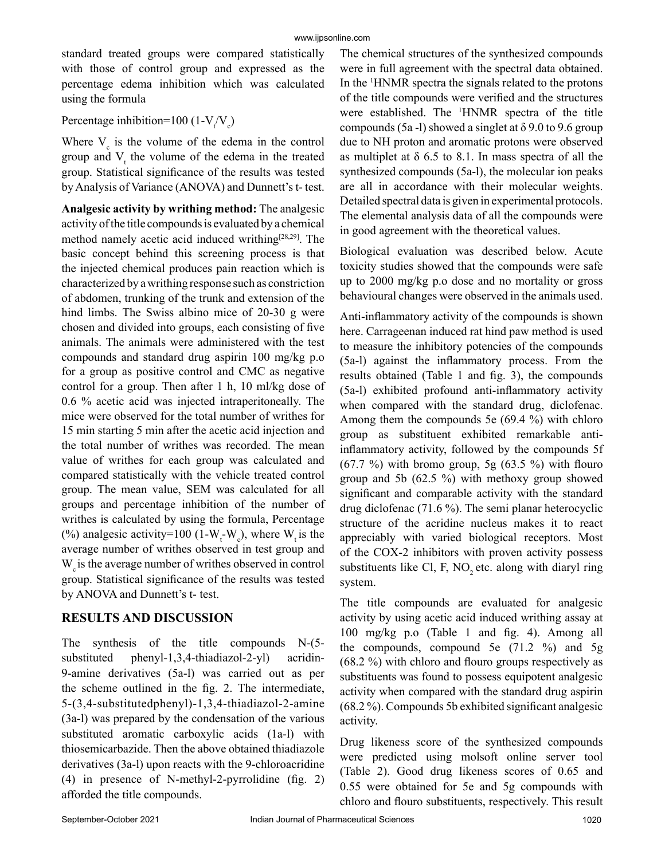standard treated groups were compared statistically with those of control group and expressed as the percentage edema inhibition which was calculated using the formula

Percentage inhibition=100 (1- $V_t/V_c$ )

Where  $V_c$  is the volume of the edema in the control group and  $V_t$ , the volume of the edema in the treated group. Statistical significance of the results was tested by Analysis of Variance (ANOVA) and Dunnett's t- test.

**Analgesic activity by writhing method:** The analgesic activity of the title compounds is evaluated by a chemical method namely acetic acid induced writhing<sup>[28,29]</sup>. The basic concept behind this screening process is that the injected chemical produces pain reaction which is characterized by a writhing response such as constriction of abdomen, trunking of the trunk and extension of the hind limbs. The Swiss albino mice of 20-30 g were chosen and divided into groups, each consisting of five animals. The animals were administered with the test compounds and standard drug aspirin 100 mg/kg p.o for a group as positive control and CMC as negative control for a group. Then after 1 h, 10 ml/kg dose of 0.6 % acetic acid was injected intraperitoneally. The mice were observed for the total number of writhes for 15 min starting 5 min after the acetic acid injection and the total number of writhes was recorded. The mean value of writhes for each group was calculated and compared statistically with the vehicle treated control group. The mean value, SEM was calculated for all groups and percentage inhibition of the number of writhes is calculated by using the formula, Percentage (%) analgesic activity=100 (1- $W_t$ - $W_c$ ), where  $W_t$  is the average number of writhes observed in test group and  $W<sub>e</sub>$  is the average number of writhes observed in control group. Statistical significance of the results was tested by ANOVA and Dunnett's t- test.

# **RESULTS AND DISCUSSION**

The synthesis of the title compounds N-(5 substituted phenyl-1,3,4-thiadiazol-2-yl) acridin-9-amine derivatives (5a-l) was carried out as per the scheme outlined in the fig. 2. The intermediate, 5-(3,4-substitutedphenyl)-1,3,4-thiadiazol-2-amine (3a-l) was prepared by the condensation of the various substituted aromatic carboxylic acids (1a-l) with thiosemicarbazide. Then the above obtained thiadiazole derivatives (3a-l) upon reacts with the 9-chloroacridine (4) in presence of N-methyl-2-pyrrolidine (fig. 2) afforded the title compounds.

The chemical structures of the synthesized compounds were in full agreement with the spectral data obtained. In the <sup>1</sup> HNMR spectra the signals related to the protons of the title compounds were verified and the structures were established. The <sup>1</sup> HNMR spectra of the title compounds (5a -l) showed a singlet at  $\delta$  9.0 to 9.6 group due to NH proton and aromatic protons were observed as multiplet at  $\delta$  6.5 to 8.1. In mass spectra of all the synthesized compounds (5a-l), the molecular ion peaks are all in accordance with their molecular weights. Detailed spectral data is given in experimental protocols. The elemental analysis data of all the compounds were in good agreement with the theoretical values.

Biological evaluation was described below. Acute toxicity studies showed that the compounds were safe up to 2000 mg/kg p.o dose and no mortality or gross behavioural changes were observed in the animals used.

Anti-inflammatory activity of the compounds is shown here. Carrageenan induced rat hind paw method is used to measure the inhibitory potencies of the compounds (5a-l) against the inflammatory process. From the results obtained (Table 1 and fig. 3), the compounds (5a-l) exhibited profound anti-inflammatory activity when compared with the standard drug, diclofenac. Among them the compounds 5e (69.4 %) with chloro group as substituent exhibited remarkable antiinflammatory activity, followed by the compounds 5f  $(67.7 \%)$  with bromo group, 5g  $(63.5 \%)$  with flouro group and 5b (62.5 %) with methoxy group showed significant and comparable activity with the standard drug diclofenac (71.6 %). The semi planar heterocyclic structure of the acridine nucleus makes it to react appreciably with varied biological receptors. Most of the COX-2 inhibitors with proven activity possess substituents like Cl, F,  $NO$ , etc. along with diaryl ring system.

The title compounds are evaluated for analgesic activity by using acetic acid induced writhing assay at 100 mg/kg p.o (Table 1 and fig. 4). Among all the compounds, compound 5e  $(71.2 \text{ %})$  and 5g (68.2 %) with chloro and flouro groups respectively as substituents was found to possess equipotent analgesic activity when compared with the standard drug aspirin (68.2 %). Compounds 5b exhibited significant analgesic activity.

Drug likeness score of the synthesized compounds were predicted using molsoft online server tool (Table 2). Good drug likeness scores of 0.65 and 0.55 were obtained for 5e and 5g compounds with chloro and flouro substituents, respectively. This result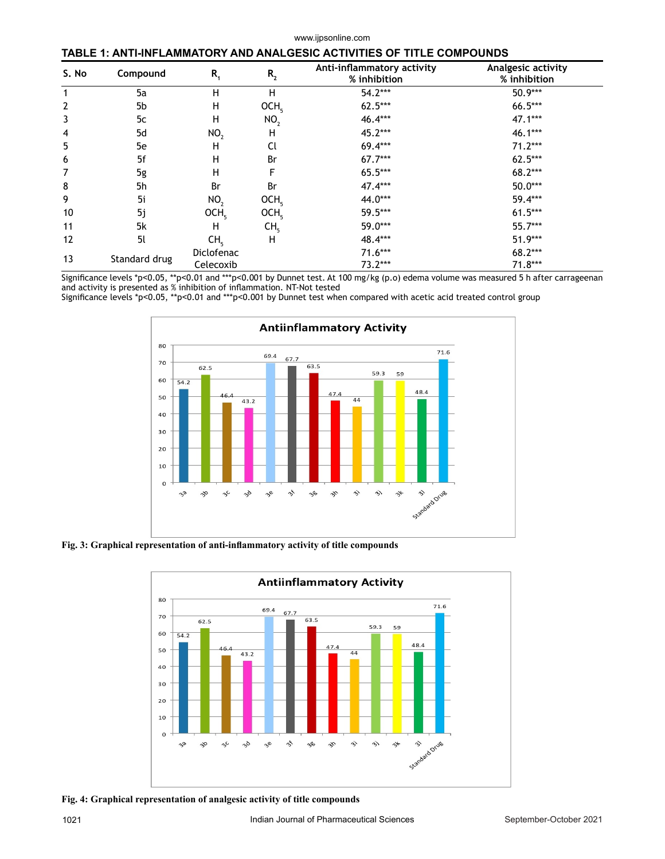#### www.ijpsonline.com

#### **TABLE 1: ANTI-INFLAMMATORY AND ANALGESIC ACTIVITIES OF TITLE COMPOUNDS**

| S. No | Compound      | $R_{1}$                 | $R_{2}$          | Anti-inflammatory activity<br>% inhibition | Analgesic activity<br>% inhibition |
|-------|---------------|-------------------------|------------------|--------------------------------------------|------------------------------------|
|       | 5a            | Н                       | Н                | $54.2***$                                  | 50.9***                            |
| 2     | 5b            | н                       | OCH <sub>5</sub> | $62.5***$                                  | 66.5***                            |
| 3     | 5c            | Н                       | NO <sub>2</sub>  | 46.4***                                    | $47.1***$                          |
| 4     | 5d            | NO <sub>2</sub>         | н                | 45.2***                                    | 46.1***                            |
| 5     | 5e            | н                       | Cl               | 69.4***                                    | $71.2***$                          |
| 6     | 5f            | н                       | Br               | $67.7***$                                  | $62.5***$                          |
| 7     | 5g            | н                       | F                | 65.5***                                    | 68.2***                            |
| 8     | 5h            | Br                      | Br               | 47.4***                                    | $50.0***$                          |
| 9     | 5i            | NO <sub>2</sub>         | OCH <sub>5</sub> | 44.0***                                    | 59.4***                            |
| 10    | 5j            | OCH <sub>5</sub>        | OCH <sub>5</sub> | 59.5***                                    | $61.5***$                          |
| 11    | 5k            | н                       | CH <sub>5</sub>  | 59.0***                                    | 55.7***                            |
| 12    | 5l            | CH <sub>5</sub>         | н                | 48.4***                                    | 51.9***                            |
| 13    | Standard drug | Diclofenac<br>Celecoxib |                  | $71.6***$<br>$73.2***$                     | 68.2***<br>$71.8***$               |

Significance levels \*p<0.05, \*\*p<0.01 and \*\*\*p<0.001 by Dunnet test. At 100 mg/kg (p.o) edema volume was measured 5 h after carrageenan and activity is presented as % inhibition of inflammation. NT-Not tested

Significance levels \*p˂0.05, \*\*p˂0.01 and \*\*\*p˂0.001 by Dunnet test when compared with acetic acid treated control group



**Fig. 3: Graphical representation of anti-inflammatory activity of title compounds**



**Fig. 4: Graphical representation of analgesic activity of title compounds**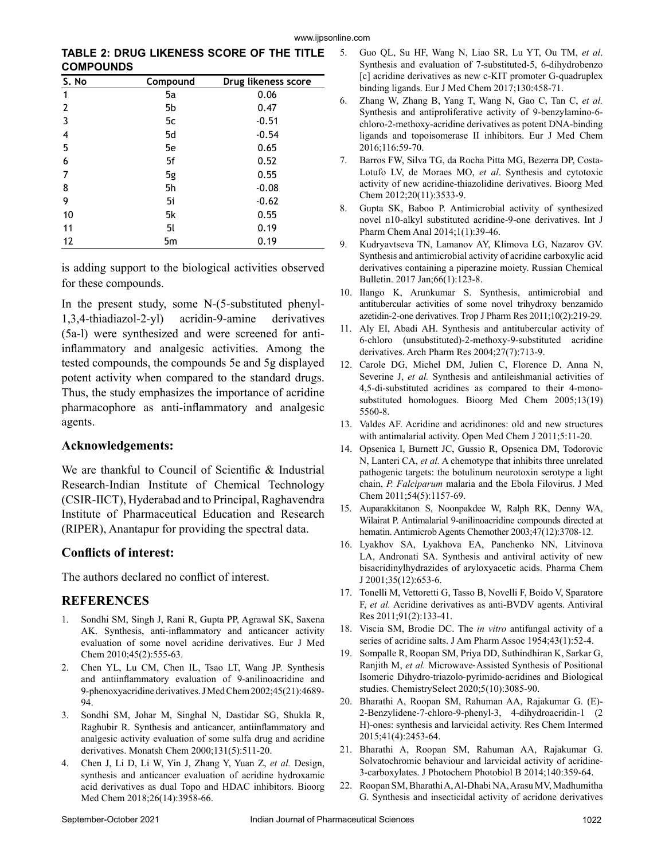**TABLE 2: DRUG LIKENESS SCORE OF THE TITLE COMPOUNDS**

| S. No        | Compound | Drug likeness score |
|--------------|----------|---------------------|
| 1            | 5a       | 0.06                |
| $\mathbf{2}$ | 5b       | 0.47                |
| 3            | 5c       | $-0.51$             |
| 4            | 5d       | $-0.54$             |
| 5            | 5e       | 0.65                |
| 6            | 5f       | 0.52                |
| 7            | 5g       | 0.55                |
| 8            | 5h       | $-0.08$             |
| 9            | 5i       | $-0.62$             |
| 10           | 5k       | 0.55                |
| 11           | 5l       | 0.19                |
| 12           | 5m       | 0.19                |

is adding support to the biological activities observed for these compounds.

In the present study, some N-(5-substituted phenyl-1,3,4-thiadiazol-2-yl) acridin-9-amine derivatives (5a-l) were synthesized and were screened for antiinflammatory and analgesic activities. Among the tested compounds, the compounds 5e and 5g displayed potent activity when compared to the standard drugs. Thus, the study emphasizes the importance of acridine pharmacophore as anti-inflammatory and analgesic agents.

### **Acknowledgements:**

We are thankful to Council of Scientific & Industrial Research-Indian Institute of Chemical Technology (CSIR-IICT), Hyderabad and to Principal, Raghavendra Institute of Pharmaceutical Education and Research (RIPER), Anantapur for providing the spectral data.

## **Conflicts of interest:**

The authors declared no conflict of interest.

## **REFERENCES**

- 1. Sondhi SM, Singh J, Rani R, Gupta PP, Agrawal SK, Saxena AK. Synthesis, anti-inflammatory and anticancer activity evaluation of some novel acridine derivatives. Eur J Med Chem 2010;45(2):555-63.
- 2. Chen YL, Lu CM, Chen IL, Tsao LT, Wang JP. Synthesis and antiinflammatory evaluation of 9-anilinoacridine and 9-phenoxyacridine derivatives. J Med Chem 2002;45(21):4689- 94.
- 3. Sondhi SM, Johar M, Singhal N, Dastidar SG, Shukla R, Raghubir R. Synthesis and anticancer, antiinflammatory and analgesic activity evaluation of some sulfa drug and acridine derivatives. Monatsh Chem 2000;131(5):511-20.
- 4. Chen J, Li D, Li W, Yin J, Zhang Y, Yuan Z, *et al.* Design, synthesis and anticancer evaluation of acridine hydroxamic acid derivatives as dual Topo and HDAC inhibitors. Bioorg Med Chem 2018;26(14):3958-66.
- 5. Guo QL, Su HF, Wang N, Liao SR, Lu YT, Ou TM, *et al*. Synthesis and evaluation of 7-substituted-5, 6-dihydrobenzo [c] acridine derivatives as new c-KIT promoter G-quadruplex binding ligands. Eur J Med Chem 2017;130:458-71.
- 6. Zhang W, Zhang B, Yang T, Wang N, Gao C, Tan C, *et al.* Synthesis and antiproliferative activity of 9-benzylamino-6 chloro-2-methoxy-acridine derivatives as potent DNA-binding ligands and topoisomerase II inhibitors. Eur J Med Chem 2016;116:59-70.
- 7. Barros FW, Silva TG, da Rocha Pitta MG, Bezerra DP, Costa-Lotufo LV, de Moraes MO, *et al*. Synthesis and cytotoxic activity of new acridine-thiazolidine derivatives. Bioorg Med Chem 2012;20(11):3533-9.
- 8. Gupta SK, Baboo P. Antimicrobial activity of synthesized novel n10-alkyl substituted acridine-9-one derivatives. Int J Pharm Chem Anal 2014;1(1):39-46.
- 9. Kudryavtseva TN, Lamanov AY, Klimova LG, Nazarov GV. Synthesis and antimicrobial activity of acridine carboxylic acid derivatives containing a piperazine moiety. Russian Chemical Bulletin. 2017 Jan;66(1):123-8.
- 10. Ilango K, Arunkumar S. Synthesis, antimicrobial and antitubercular activities of some novel trihydroxy benzamido azetidin-2-one derivatives. Trop J Pharm Res 2011;10(2):219-29.
- 11. Aly EI, Abadi AH. Synthesis and antitubercular activity of 6-chloro (unsubstituted)-2-methoxy-9-substituted acridine derivatives. Arch Pharm Res 2004;27(7):713-9.
- 12. Carole DG, Michel DM, Julien C, Florence D, Anna N, Severine J, et al. Synthesis and antileishmanial activities of 4,5-di-substituted acridines as compared to their 4-monosubstituted homologues. Bioorg Med Chem 2005;13(19) 5560-8.
- 13. Valdes AF. Acridine and acridinones: old and new structures with antimalarial activity. Open Med Chem J 2011;5:11-20.
- 14. Opsenica I, Burnett JC, Gussio R, Opsenica DM, Todorovic N, Lanteri CA, *et al.* A chemotype that inhibits three unrelated pathogenic targets: the botulinum neurotoxin serotype a light chain, *P. Falciparum* malaria and the Ebola Filovirus. J Med Chem 2011;54(5):1157-69.
- 15. Auparakkitanon S, Noonpakdee W, Ralph RK, Denny WA, Wilairat P. Antimalarial 9-anilinoacridine compounds directed at hematin. Antimicrob Agents Chemother 2003;47(12):3708-12.
- 16. Lyakhov SA, Lyakhova EA, Panchenko NN, Litvinova LA, Andronati SA. Synthesis and antiviral activity of new bisacridinylhydrazides of aryloxyacetic acids. Pharma Chem J 2001;35(12):653-6.
- 17. Tonelli M, Vettoretti G, Tasso B, Novelli F, Boido V, Sparatore F, *et al.* Acridine derivatives as anti-BVDV agents. Antiviral Res 2011;91(2):133-41.
- 18. Viscia SM, Brodie DC. The *in vitro* antifungal activity of a series of acridine salts. J Am Pharm Assoc 1954;43(1):52-4.
- 19. Sompalle R, Roopan SM, Priya DD, Suthindhiran K, Sarkar G, Ranjith M, *et al.* Microwave‐Assisted Synthesis of Positional Isomeric Dihydro‐triazolo‐pyrimido‐acridines and Biological studies. ChemistrySelect 2020;5(10):3085-90.
- 20. Bharathi A, Roopan SM, Rahuman AA, Rajakumar G. (E)- 2-Benzylidene-7-chloro-9-phenyl-3, 4-dihydroacridin-1 (2 H)-ones: synthesis and larvicidal activity. Res Chem Intermed 2015;41(4):2453-64.
- 21. Bharathi A, Roopan SM, Rahuman AA, Rajakumar G. Solvatochromic behaviour and larvicidal activity of acridine-3-carboxylates. J Photochem Photobiol B 2014;140:359-64.
- 22. Roopan SM, Bharathi A, Al-Dhabi NA, Arasu MV, Madhumitha G. Synthesis and insecticidal activity of acridone derivatives